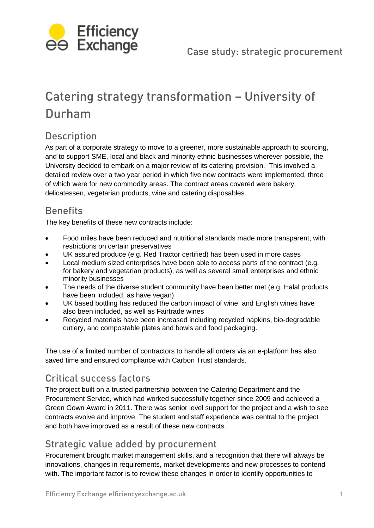

# Catering strategy transformation – University of Durham

## Description

As part of a corporate strategy to move to a greener, more sustainable approach to sourcing, and to support SME, local and black and minority ethnic businesses wherever possible, the University decided to embark on a major review of its catering provision. This involved a detailed review over a two year period in which five new contracts were implemented, three of which were for new commodity areas. The contract areas covered were bakery, delicatessen, vegetarian products, wine and catering disposables.

# **Benefits**

The key benefits of these new contracts include:

- Food miles have been reduced and nutritional standards made more transparent, with restrictions on certain preservatives
- UK assured produce (e.g. Red Tractor certified) has been used in more cases
- Local medium sized enterprises have been able to access parts of the contract (e.g. for bakery and vegetarian products), as well as several small enterprises and ethnic minority businesses
- The needs of the diverse student community have been better met (e.g. Halal products have been included, as have vegan)
- UK based bottling has reduced the carbon impact of wine, and English wines have also been included, as well as Fairtrade wines
- Recycled materials have been increased including recycled napkins, bio-degradable cutlery, and compostable plates and bowls and food packaging.

The use of a limited number of contractors to handle all orders via an e-platform has also saved time and ensured compliance with Carbon Trust standards.

# Critical success factors

The project built on a trusted partnership between the Catering Department and the Procurement Service, which had worked successfully together since 2009 and achieved a Green Gown Award in 2011. There was senior level support for the project and a wish to see contracts evolve and improve. The student and staff experience was central to the project and both have improved as a result of these new contracts.

### Strategic value added by procurement

Procurement brought market management skills, and a recognition that there will always be innovations, changes in requirements, market developments and new processes to contend with. The important factor is to review these changes in order to identify opportunities to